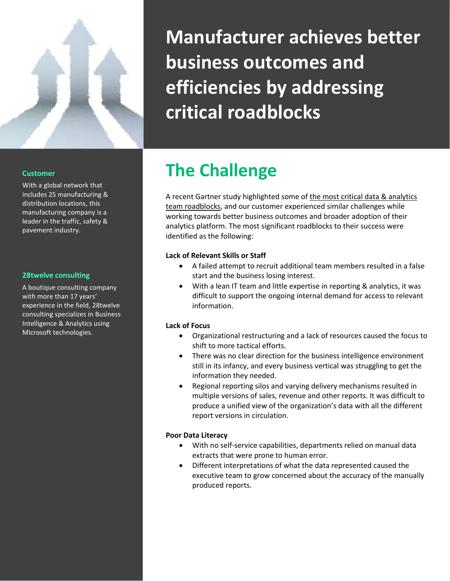

# **Manufacturer achieves better business outcomes and efficiencies by addressing critical roadblocks**

#### **Customer**

With a global network that includes 25 manufacturing & distribution locations, this manufacturing company is a leader in the traffic, safety & pavement industry.

#### **28twelve consulting**

A boutique consulting company with more than 17 years' experience in the field, 28twelve consulting specializes in Business Intelligence & Analytics using Microsoft technologies.

## **The Challenge**

A recent Gartner study highlighted some o[f the most critical data & analytics](https://www.gartner.com/smarterwithgartner/avoid-5-pitfalls-when-building-data-and-analytics-teams/)  [team roadblocks,](https://www.gartner.com/smarterwithgartner/avoid-5-pitfalls-when-building-data-and-analytics-teams/) and our customer experienced similar challenges while working towards better business outcomes and broader adoption of their analytics platform. The most significant roadblocks to their success were identified as the following:

#### **Lack of Relevant Skills or Staff**

- A failed attempt to recruit additional team members resulted in a false start and the business losing interest.
- With a lean IT team and little expertise in reporting & analytics, it was difficult to support the ongoing internal demand for access to relevant information.

#### **Lack of Focus**

- Organizational restructuring and a lack of resources caused the focus to shift to more tactical efforts.
- There was no clear direction for the business intelligence environment still in its infancy, and every business vertical was struggling to get the information they needed.
- Regional reporting silos and varying delivery mechanisms resulted in multiple versions of sales, revenue and other reports. It was difficult to produce a unified view of the organization's data with all the different report versions in circulation.

#### **Poor Data Literacy**

- With no self-service capabilities, departments relied on manual data extracts that were prone to human error.
- Different interpretations of what the data represented caused the executive team to grow concerned about the accuracy of the manually produced reports.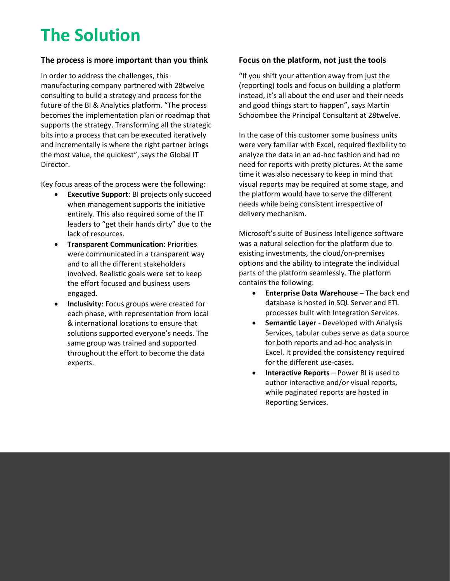### **The Solution**

### **The process is more important than you think Focus on the platform, not just the tools**

In order to address the challenges, this manufacturing company partnered with 28twelve consulting to build a strategy and process for the future of the BI & Analytics platform. "The process becomes the implementation plan or roadmap that supports the strategy. Transforming all the strategic bits into a process that can be executed iteratively and incrementally is where the right partner brings the most value, the quickest", says the Global IT Director.

Key focus areas of the process were the following:

- **Executive Support**: BI projects only succeed when management supports the initiative entirely. This also required some of the IT leaders to "get their hands dirty" due to the lack of resources.
- **Transparent Communication**: Priorities were communicated in a transparent way and to all the different stakeholders involved. Realistic goals were set to keep the effort focused and business users engaged.
- **Inclusivity**: Focus groups were created for each phase, with representation from local & international locations to ensure that solutions supported everyone's needs. The same group was trained and supported throughout the effort to become the data experts.

"If you shift your attention away from just the (reporting) tools and focus on building a platform instead, it's all about the end user and their needs and good things start to happen", says Martin Schoombee the Principal Consultant at 28twelve.

In the case of this customer some business units were very familiar with Excel, required flexibility to analyze the data in an ad-hoc fashion and had no need for reports with pretty pictures. At the same time it was also necessary to keep in mind that visual reports may be required at some stage, and the platform would have to serve the different needs while being consistent irrespective of delivery mechanism.

Microsoft's suite of Business Intelligence software was a natural selection for the platform due to existing investments, the cloud/on-premises options and the ability to integrate the individual parts of the platform seamlessly. The platform contains the following:

- **Enterprise Data Warehouse** The back end database is hosted in SQL Server and ETL processes built with Integration Services.
- **Semantic Layer** Developed with Analysis Services, tabular cubes serve as data source for both reports and ad-hoc analysis in Excel. It provided the consistency required for the different use-cases.
- **Interactive Reports** Power BI is used to author interactive and/or visual reports, while paginated reports are hosted in Reporting Services.